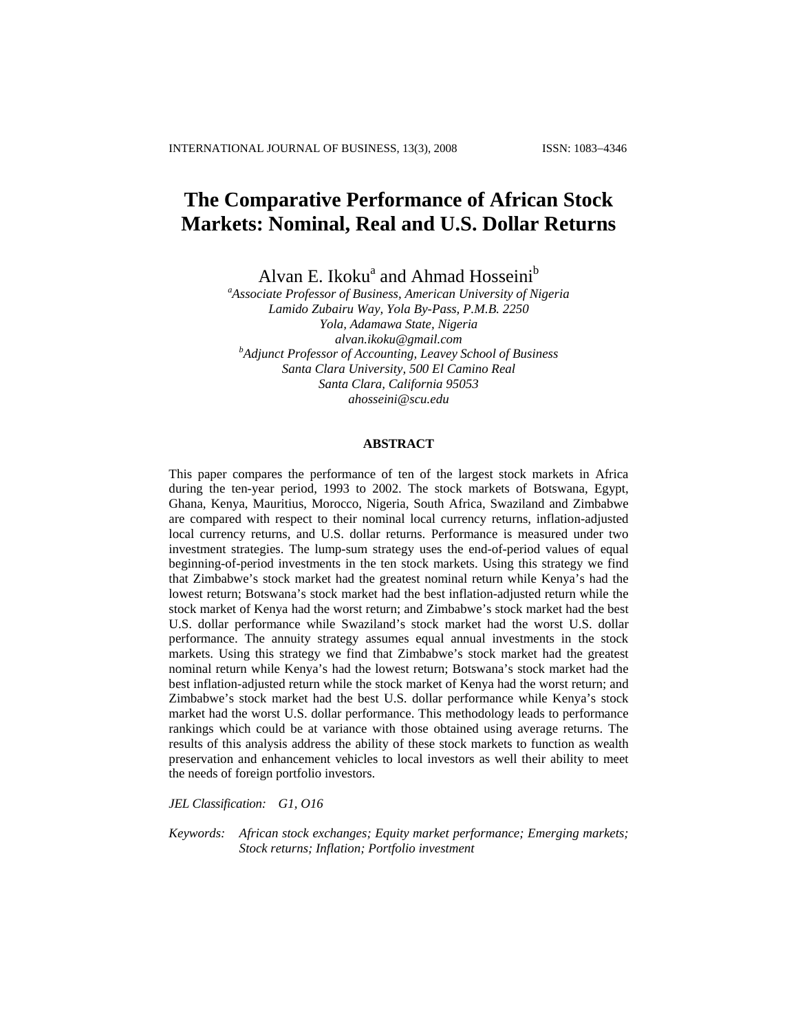# **The Comparative Performance of African Stock Markets: Nominal, Real and U.S. Dollar Returns**

Alvan E. Ikoku<sup>a</sup> and Ahmad Hosseini<sup>b</sup>

*a Associate Professor of Business, American University of Nigeria Lamido Zubairu Way, Yola By-Pass, P.M.B. 2250 Yola, Adamawa State, Nigeria alvan.ikoku@gmail.com b Adjunct Professor of Accounting, Leavey School of Business Santa Clara University, 500 El Camino Real Santa Clara, California 95053 ahosseini@scu.edu* 

### **ABSTRACT**

This paper compares the performance of ten of the largest stock markets in Africa during the ten-year period, 1993 to 2002. The stock markets of Botswana, Egypt, Ghana, Kenya, Mauritius, Morocco, Nigeria, South Africa, Swaziland and Zimbabwe are compared with respect to their nominal local currency returns, inflation-adjusted local currency returns, and U.S. dollar returns. Performance is measured under two investment strategies. The lump-sum strategy uses the end-of-period values of equal beginning-of-period investments in the ten stock markets. Using this strategy we find that Zimbabwe's stock market had the greatest nominal return while Kenya's had the lowest return; Botswana's stock market had the best inflation-adjusted return while the stock market of Kenya had the worst return; and Zimbabwe's stock market had the best U.S. dollar performance while Swaziland's stock market had the worst U.S. dollar performance. The annuity strategy assumes equal annual investments in the stock markets. Using this strategy we find that Zimbabwe's stock market had the greatest nominal return while Kenya's had the lowest return; Botswana's stock market had the best inflation-adjusted return while the stock market of Kenya had the worst return; and Zimbabwe's stock market had the best U.S. dollar performance while Kenya's stock market had the worst U.S. dollar performance. This methodology leads to performance rankings which could be at variance with those obtained using average returns. The results of this analysis address the ability of these stock markets to function as wealth preservation and enhancement vehicles to local investors as well their ability to meet the needs of foreign portfolio investors.

*JEL Classification: G1, O16* 

*Keywords: African stock exchanges; Equity market performance; Emerging markets; Stock returns; Inflation; Portfolio investment*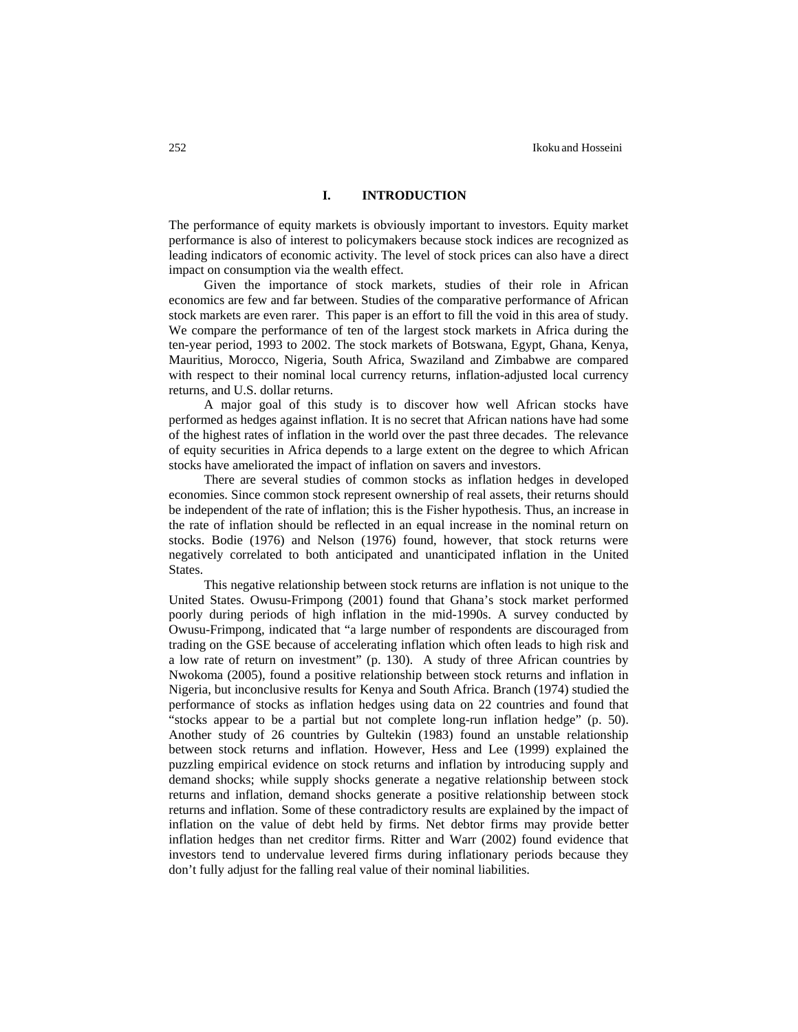### **I.****INTRODUCTION**

The performance of equity markets is obviously important to investors. Equity market performance is also of interest to policymakers because stock indices are recognized as leading indicators of economic activity. The level of stock prices can also have a direct impact on consumption via the wealth effect.

Given the importance of stock markets, studies of their role in African economics are few and far between. Studies of the comparative performance of African stock markets are even rarer. This paper is an effort to fill the void in this area of study. We compare the performance of ten of the largest stock markets in Africa during the ten-year period, 1993 to 2002. The stock markets of Botswana, Egypt, Ghana, Kenya, Mauritius, Morocco, Nigeria, South Africa, Swaziland and Zimbabwe are compared with respect to their nominal local currency returns, inflation-adjusted local currency returns, and U.S. dollar returns.

A major goal of this study is to discover how well African stocks have performed as hedges against inflation. It is no secret that African nations have had some of the highest rates of inflation in the world over the past three decades. The relevance of equity securities in Africa depends to a large extent on the degree to which African stocks have ameliorated the impact of inflation on savers and investors.

There are several studies of common stocks as inflation hedges in developed economies. Since common stock represent ownership of real assets, their returns should be independent of the rate of inflation; this is the Fisher hypothesis. Thus, an increase in the rate of inflation should be reflected in an equal increase in the nominal return on stocks. Bodie (1976) and Nelson (1976) found, however, that stock returns were negatively correlated to both anticipated and unanticipated inflation in the United States.

This negative relationship between stock returns are inflation is not unique to the United States. Owusu-Frimpong (2001) found that Ghana's stock market performed poorly during periods of high inflation in the mid-1990s. A survey conducted by Owusu-Frimpong, indicated that "a large number of respondents are discouraged from trading on the GSE because of accelerating inflation which often leads to high risk and a low rate of return on investment" (p. 130). A study of three African countries by Nwokoma (2005), found a positive relationship between stock returns and inflation in Nigeria, but inconclusive results for Kenya and South Africa. Branch (1974) studied the performance of stocks as inflation hedges using data on 22 countries and found that "stocks appear to be a partial but not complete long-run inflation hedge" (p. 50). Another study of 26 countries by Gultekin (1983) found an unstable relationship between stock returns and inflation. However, Hess and Lee (1999) explained the puzzling empirical evidence on stock returns and inflation by introducing supply and demand shocks; while supply shocks generate a negative relationship between stock returns and inflation, demand shocks generate a positive relationship between stock returns and inflation. Some of these contradictory results are explained by the impact of inflation on the value of debt held by firms. Net debtor firms may provide better inflation hedges than net creditor firms. Ritter and Warr (2002) found evidence that investors tend to undervalue levered firms during inflationary periods because they don't fully adjust for the falling real value of their nominal liabilities.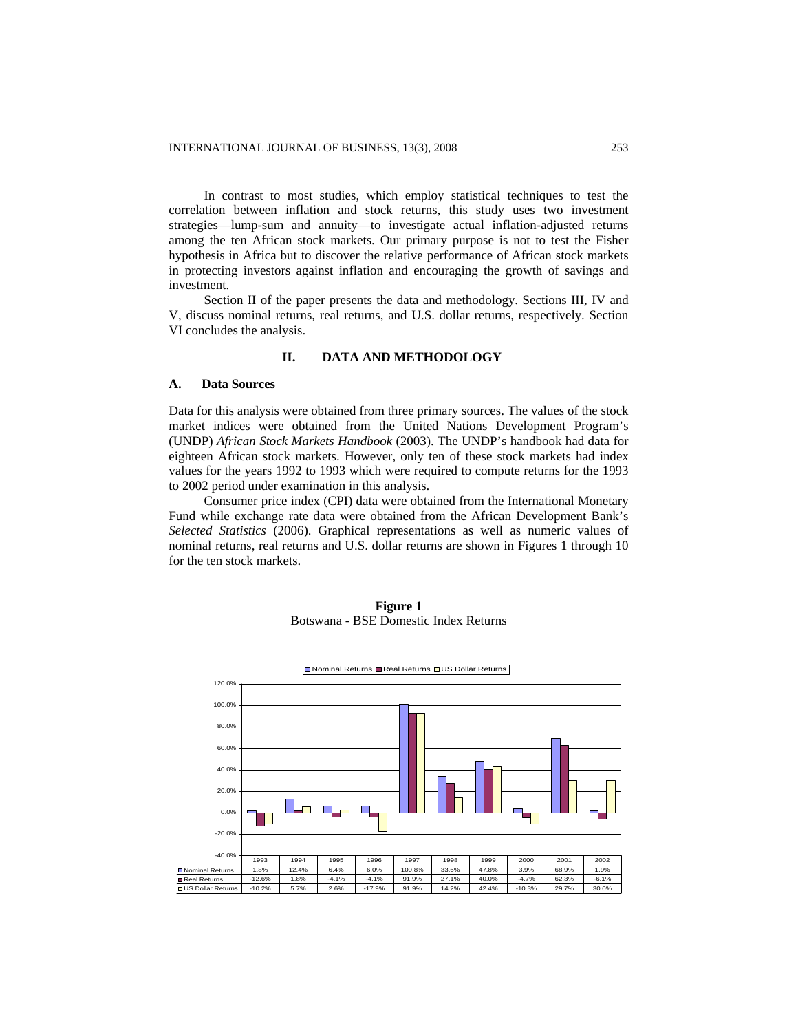In contrast to most studies, which employ statistical techniques to test the correlation between inflation and stock returns, this study uses two investment strategies—lump-sum and annuity—to investigate actual inflation-adjusted returns among the ten African stock markets. Our primary purpose is not to test the Fisher hypothesis in Africa but to discover the relative performance of African stock markets in protecting investors against inflation and encouraging the growth of savings and investment.

Section II of the paper presents the data and methodology. Sections III, IV and V, discuss nominal returns, real returns, and U.S. dollar returns, respectively. Section VI concludes the analysis.

### **II. DATA AND METHODOLOGY**

### **A. Data Sources**

Data for this analysis were obtained from three primary sources. The values of the stock market indices were obtained from the United Nations Development Program's (UNDP) *African Stock Markets Handbook* (2003). The UNDP's handbook had data for eighteen African stock markets. However, only ten of these stock markets had index values for the years 1992 to 1993 which were required to compute returns for the 1993 to 2002 period under examination in this analysis.

Consumer price index (CPI) data were obtained from the International Monetary Fund while exchange rate data were obtained from the African Development Bank's *Selected Statistics* (2006). Graphical representations as well as numeric values of nominal returns, real returns and U.S. dollar returns are shown in Figures 1 through 10 for the ten stock markets.



**Figure 1**  Botswana - BSE Domestic Index Returns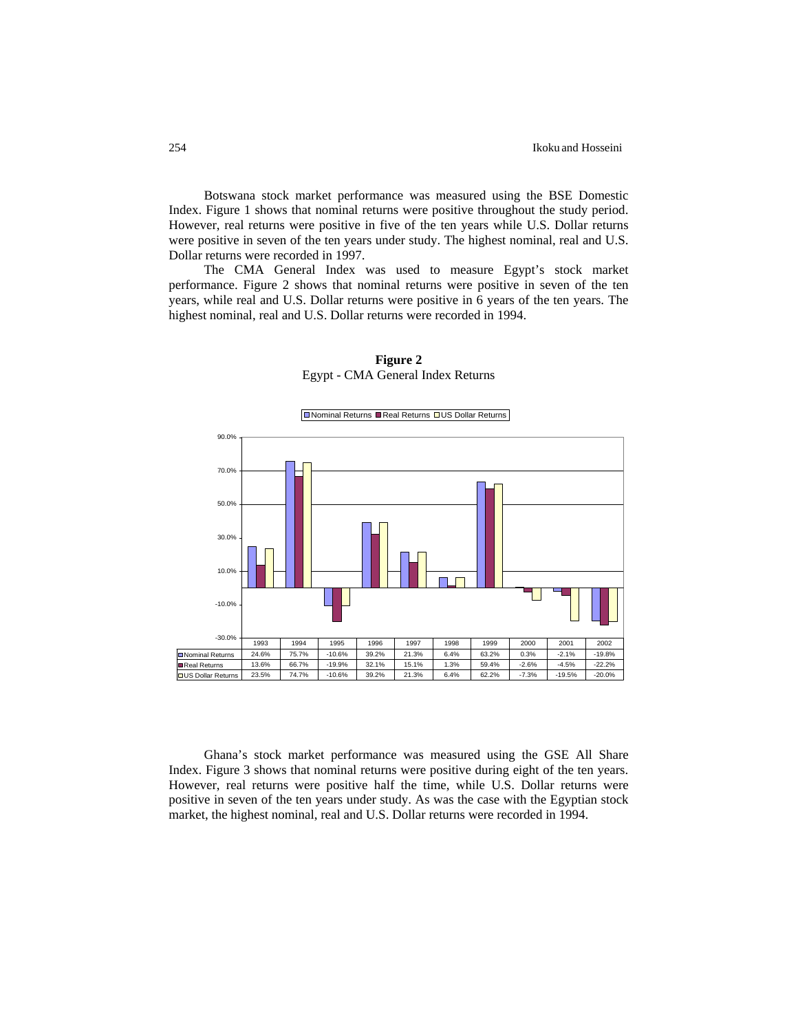Botswana stock market performance was measured using the BSE Domestic Index. Figure 1 shows that nominal returns were positive throughout the study period. However, real returns were positive in five of the ten years while U.S. Dollar returns were positive in seven of the ten years under study. The highest nominal, real and U.S. Dollar returns were recorded in 1997.

The CMA General Index was used to measure Egypt's stock market performance. Figure 2 shows that nominal returns were positive in seven of the ten years, while real and U.S. Dollar returns were positive in 6 years of the ten years. The highest nominal, real and U.S. Dollar returns were recorded in 1994.



**Figure 2**  Egypt - CMA General Index Returns

Ghana's stock market performance was measured using the GSE All Share Index. Figure 3 shows that nominal returns were positive during eight of the ten years. However, real returns were positive half the time, while U.S. Dollar returns were positive in seven of the ten years under study. As was the case with the Egyptian stock market, the highest nominal, real and U.S. Dollar returns were recorded in 1994.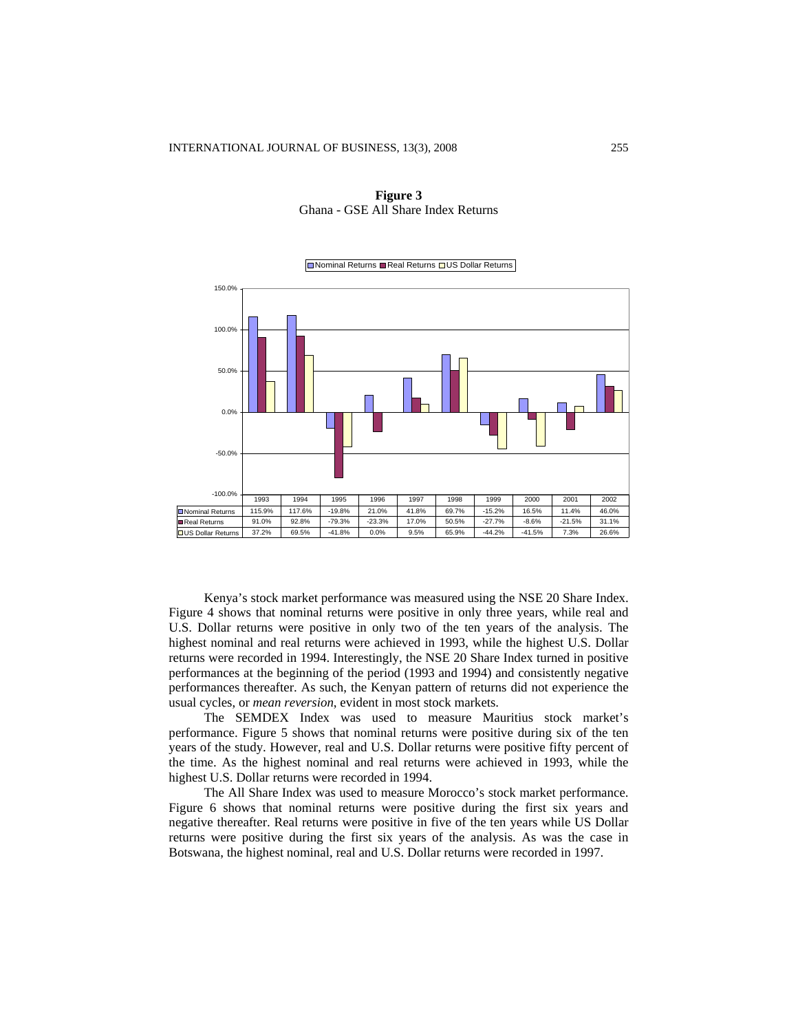| 150.0%                    |        |        |          |          |       |       |          |          |          |       |
|---------------------------|--------|--------|----------|----------|-------|-------|----------|----------|----------|-------|
| 100.0%                    |        |        |          |          |       |       |          |          |          |       |
| 50.0%<br>0.0%             |        |        |          |          |       |       |          |          |          |       |
| $-50.0%$                  |        |        |          |          |       |       |          |          |          |       |
| $-100.0%$                 |        |        |          |          |       |       |          |          |          |       |
|                           | 1993   | 1994   | 1995     | 1996     | 1997  | 1998  | 1999     | 2000     | 2001     | 2002  |
| Nominal Returns           | 115.9% | 117.6% | $-19.8%$ | 21.0%    | 41.8% | 69.7% | $-15.2%$ | 16.5%    | 11.4%    | 46.0% |
| Real Returns              | 91.0%  | 92.8%  | $-79.3%$ | $-23.3%$ | 17.0% | 50.5% | $-27.7%$ | $-8.6%$  | $-21.5%$ | 31.1% |
| <b>QUS Dollar Returns</b> | 37.2%  | 69.5%  | $-41.8%$ | 0.0%     | 9.5%  | 65.9% | $-44.2%$ | $-41.5%$ | 7.3%     | 26.6% |

**Figure 3**  Ghana - GSE All Share Index Returns

Nominal Returns Real Returns US Dollar Returns

Kenya's stock market performance was measured using the NSE 20 Share Index. Figure 4 shows that nominal returns were positive in only three years, while real and U.S. Dollar returns were positive in only two of the ten years of the analysis. The highest nominal and real returns were achieved in 1993, while the highest U.S. Dollar returns were recorded in 1994. Interestingly, the NSE 20 Share Index turned in positive performances at the beginning of the period (1993 and 1994) and consistently negative performances thereafter. As such, the Kenyan pattern of returns did not experience the usual cycles, or *mean reversion*, evident in most stock markets.

The SEMDEX Index was used to measure Mauritius stock market's performance. Figure 5 shows that nominal returns were positive during six of the ten years of the study. However, real and U.S. Dollar returns were positive fifty percent of the time. As the highest nominal and real returns were achieved in 1993, while the highest U.S. Dollar returns were recorded in 1994.

The All Share Index was used to measure Morocco's stock market performance. Figure 6 shows that nominal returns were positive during the first six years and negative thereafter. Real returns were positive in five of the ten years while US Dollar returns were positive during the first six years of the analysis. As was the case in Botswana, the highest nominal, real and U.S. Dollar returns were recorded in 1997.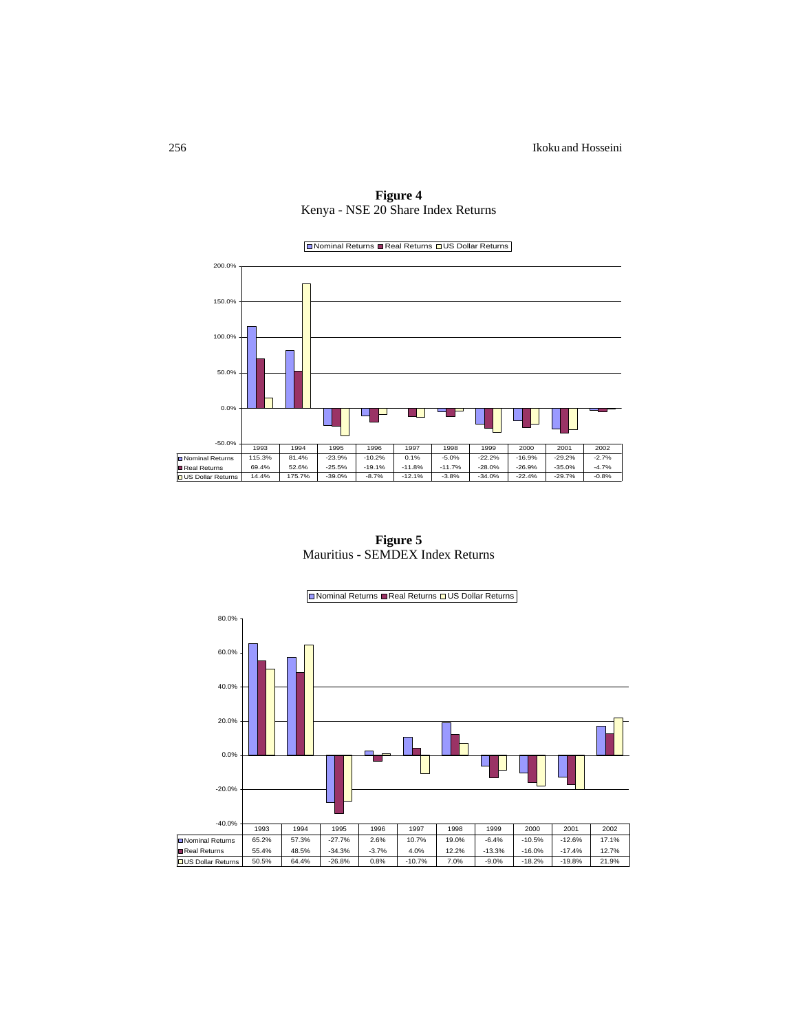

**Figure 4**  Kenya - NSE 20 Share Index Returns

**Figure 5**  Mauritius - SEMDEX Index Returns

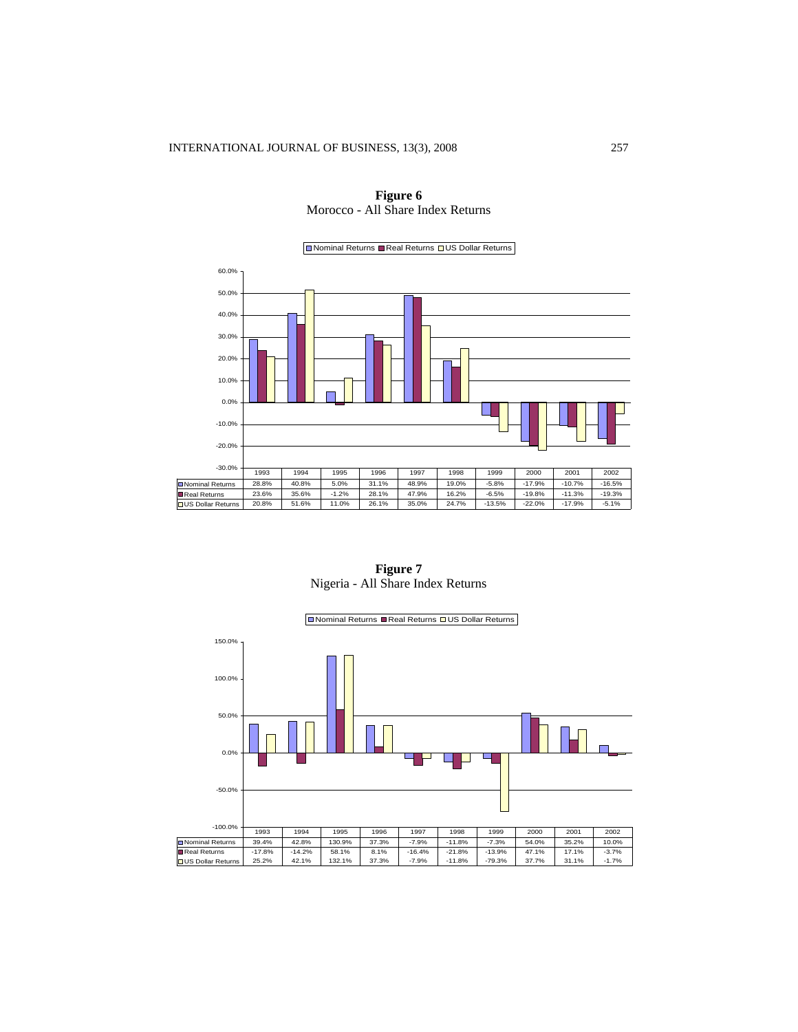-30.0% -20.0% -10.0% 0.0% 10.0% 20.0% 30.0% 40.0% 50.0% 60.0%  $\Box$  Nominal Returns  $\Box$  Real Returns  $\Box$  US Dollar Returns Nominal Returns 28.8% 40.8% 5.0% 31.1% 48.9% 19.0% -5.8% -17.9% -10.7% -16.5%<br>Real Returns 23.6% 35.6% -1.2% 28.1% 47.9% 16.2% -6.5% -19.8% -11.3% -19.3%<br>US Dollar Returns 20.8% 51.6% 11.0% 26.1% 35.0% 24.7% -13.5% -22.0% 1993 | 1994 | 1995 | 1996 | 1997 | 1998 | 1999 | 2000 | 2001 | 2002



**Figure 7**  Nigeria - All Share Index Returns

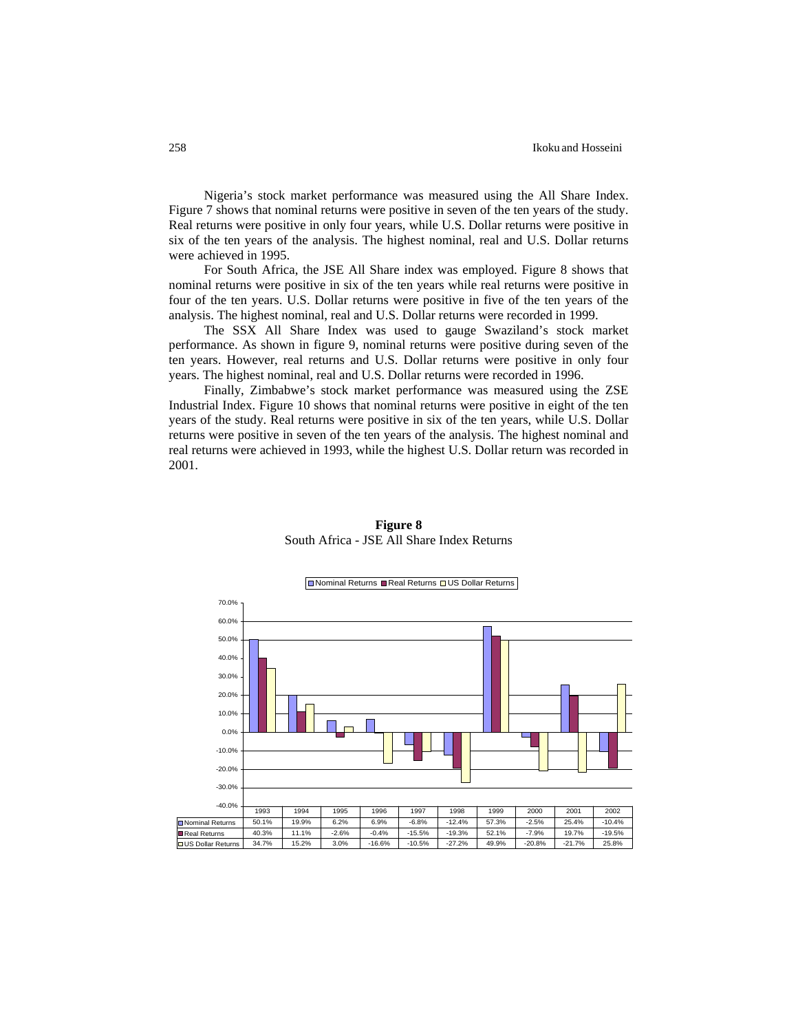#### 258 Ikoku and Hosseini

Nigeria's stock market performance was measured using the All Share Index. Figure 7 shows that nominal returns were positive in seven of the ten years of the study. Real returns were positive in only four years, while U.S. Dollar returns were positive in six of the ten years of the analysis. The highest nominal, real and U.S. Dollar returns were achieved in 1995.

For South Africa, the JSE All Share index was employed. Figure 8 shows that nominal returns were positive in six of the ten years while real returns were positive in four of the ten years. U.S. Dollar returns were positive in five of the ten years of the analysis. The highest nominal, real and U.S. Dollar returns were recorded in 1999.

The SSX All Share Index was used to gauge Swaziland's stock market performance. As shown in figure 9, nominal returns were positive during seven of the ten years. However, real returns and U.S. Dollar returns were positive in only four years. The highest nominal, real and U.S. Dollar returns were recorded in 1996.

Finally, Zimbabwe's stock market performance was measured using the ZSE Industrial Index. Figure 10 shows that nominal returns were positive in eight of the ten years of the study. Real returns were positive in six of the ten years, while U.S. Dollar returns were positive in seven of the ten years of the analysis. The highest nominal and real returns were achieved in 1993, while the highest U.S. Dollar return was recorded in 2001.



**Figure 8**  South Africa - JSE All Share Index Returns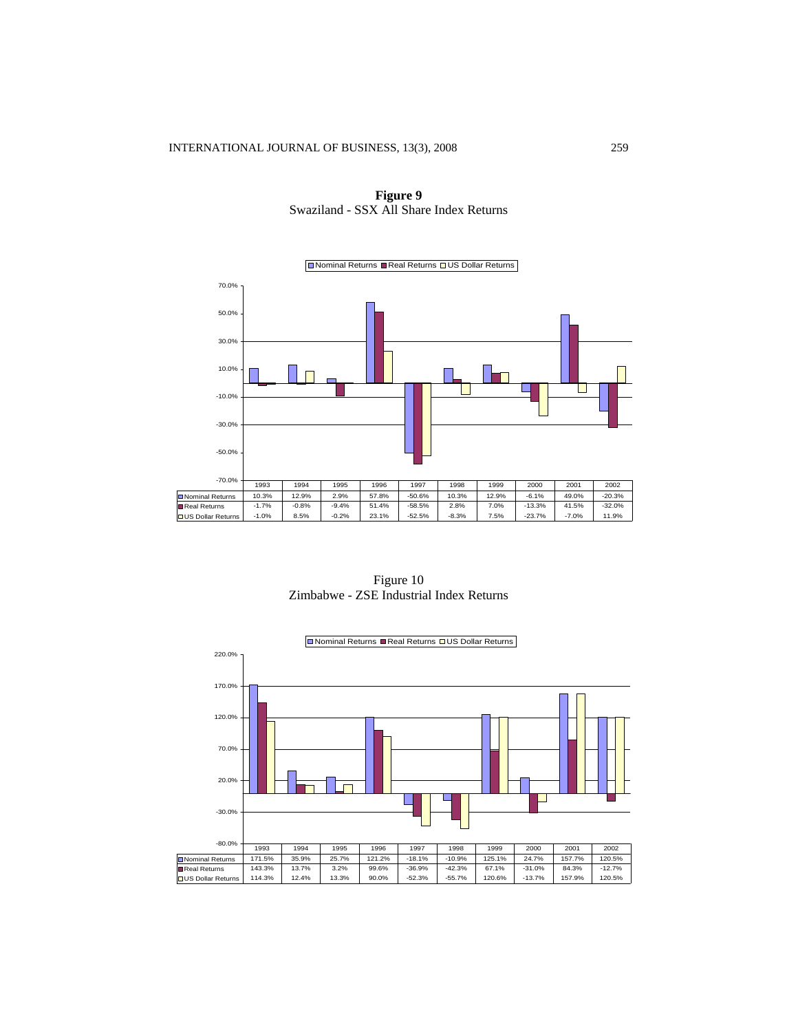Nominal Returns Real Returns US Dollar Returns 70.0% 50.0% 30.0% 10.0%  $\Box$ T -10.0% -30.0% -50.0% -70.0% 1993 | 1994 | 1995 | 1996 | 1997 | 1998 | 1999 | 2000 | 2001 | 2002 Nominal Returns 10.3% 12.9% 2.9% 57.8% -50.6% 10.3% 12.9% -6.1% 49.0% -20.3% Real Returns -1.7% -0.8% -9.4% 51.4% -58.5% 2.8% 7.0% -13.3% 41.5% -32.0% US Dollar Returns -1.0% 8.5% -0.2% 23.1% -52.5% -8.3% 7.5% -23.7% -7.0% 11.9%

**Figure 9**  Swaziland - SSX All Share Index Returns

Figure 10 Zimbabwe - ZSE Industrial Index Returns

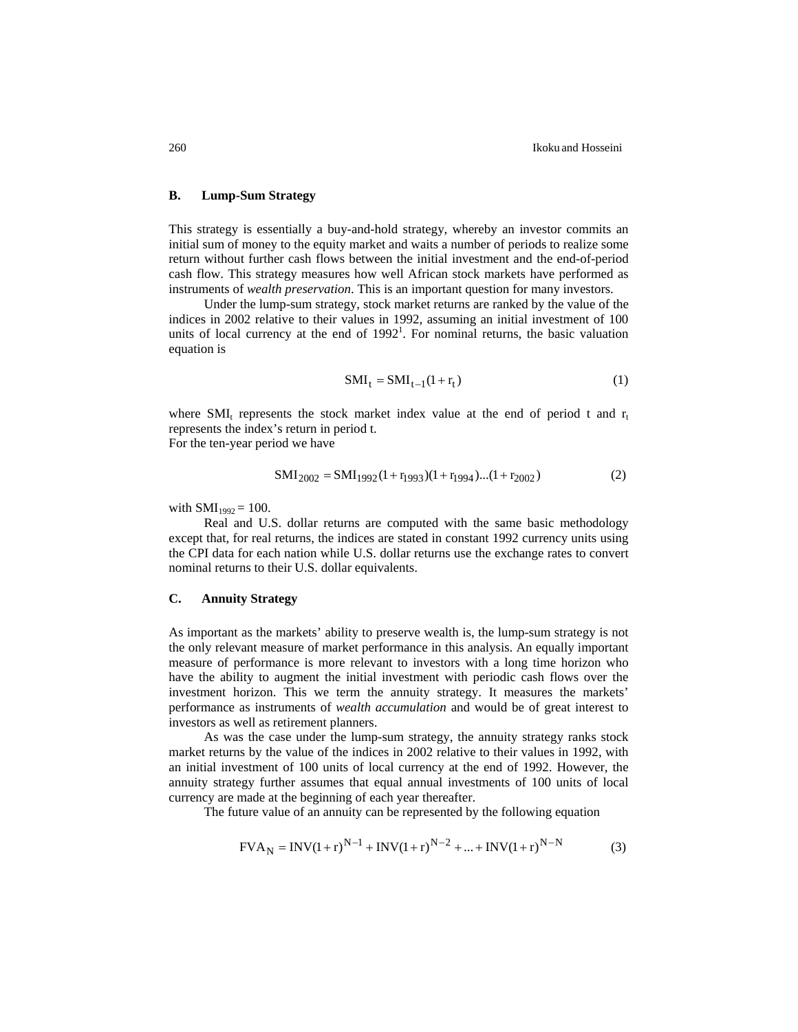### **B. Lump-Sum Strategy**

This strategy is essentially a buy-and-hold strategy, whereby an investor commits an initial sum of money to the equity market and waits a number of periods to realize some return without further cash flows between the initial investment and the end-of-period cash flow. This strategy measures how well African stock markets have performed as instruments of *wealth preservation*. This is an important question for many investors.

Under the lump-sum strategy, stock market returns are ranked by the value of the indices in 2002 relative to their values in 1992, assuming an initial investment of 100 units of local currency at the end of  $1992<sup>1</sup>$ . For nominal returns, the basic valuation equation is

$$
SMI_t = SMI_{t-1}(1+r_t)
$$
 (1)

where SMI<sub>t</sub> represents the stock market index value at the end of period t and  $r_t$ represents the index's return in period t. For the ten-year period we have

$$
SMI_{2002} = SMI_{1992}(1 + r_{1993})(1 + r_{1994})...(1 + r_{2002})
$$
 (2)

with  $SMI_{1992} = 100$ .

Real and U.S. dollar returns are computed with the same basic methodology except that, for real returns, the indices are stated in constant 1992 currency units using the CPI data for each nation while U.S. dollar returns use the exchange rates to convert nominal returns to their U.S. dollar equivalents.

### **C. Annuity Strategy**

As important as the markets' ability to preserve wealth is, the lump-sum strategy is not the only relevant measure of market performance in this analysis. An equally important measure of performance is more relevant to investors with a long time horizon who have the ability to augment the initial investment with periodic cash flows over the investment horizon. This we term the annuity strategy. It measures the markets' performance as instruments of *wealth accumulation* and would be of great interest to investors as well as retirement planners.

As was the case under the lump-sum strategy, the annuity strategy ranks stock market returns by the value of the indices in 2002 relative to their values in 1992, with an initial investment of 100 units of local currency at the end of 1992. However, the annuity strategy further assumes that equal annual investments of 100 units of local currency are made at the beginning of each year thereafter.

The future value of an annuity can be represented by the following equation

$$
FVA_N = INV(1+r)^{N-1} + INV(1+r)^{N-2} + ... + INV(1+r)^{N-N}
$$
 (3)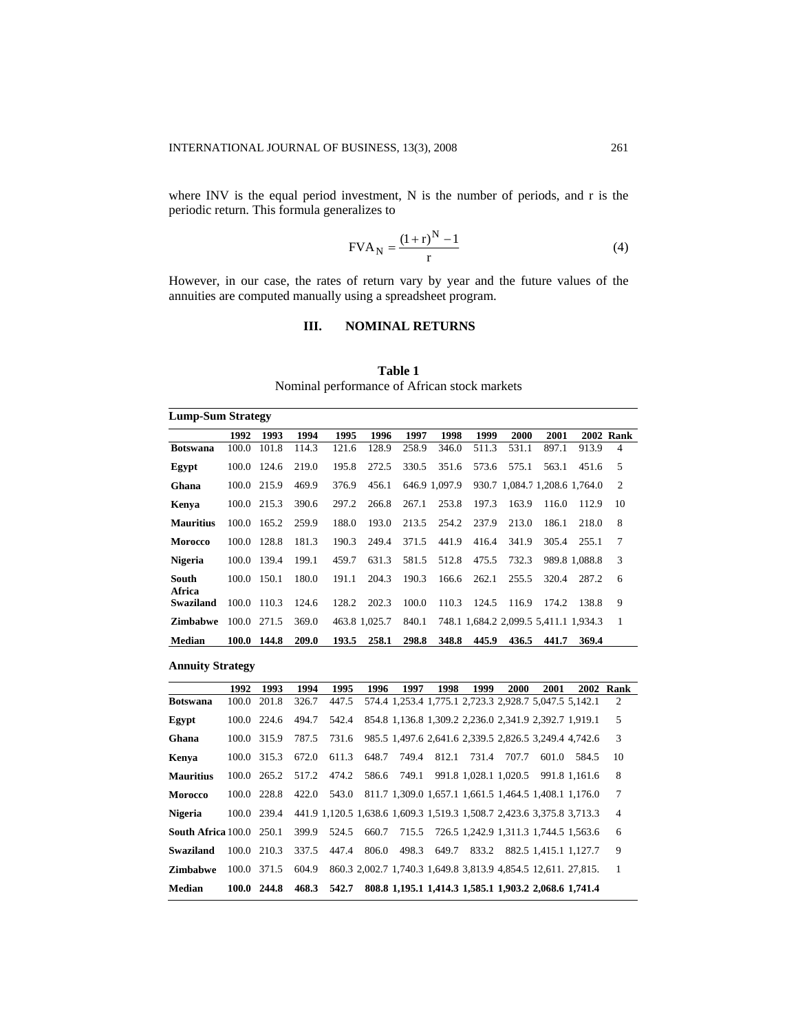where INV is the equal period investment, N is the number of periods, and r is the periodic return. This formula generalizes to

$$
FVA_N = \frac{(1+r)^N - 1}{r}
$$
 (4)

However, in our case, the rates of return vary by year and the future values of the annuities are computed manually using a spreadsheet program.

## **III. NOMINAL RETURNS**

**Table 1**  Nominal performance of African stock markets

| <b>Lump-Sum Strategy</b> |       |             |       |       |               |       |               |       |       |                                       |               |                  |
|--------------------------|-------|-------------|-------|-------|---------------|-------|---------------|-------|-------|---------------------------------------|---------------|------------------|
|                          | 1992  | 1993        | 1994  | 1995  | 1996          | 1997  | 1998          | 1999  | 2000  | 2001                                  |               | <b>2002 Rank</b> |
| <b>Botswana</b>          | 100.0 | 101.8       | 114.3 | 121.6 | 128.9         | 258.9 | 346.0         | 511.3 | 531.1 | 897.1                                 | 913.9         | $\overline{4}$   |
| Egypt                    | 100.0 | 124.6       | 219.0 | 195.8 | 272.5         | 330.5 | 351.6         | 573.6 | 575.1 | 563.1                                 | 451.6         | 5                |
| Ghana                    | 100.0 | 215.9       | 469.9 | 376.9 | 456.1         |       | 646.9 1.097.9 |       |       | 930.7 1.084.7 1.208.6 1.764.0         |               | 2                |
| Kenya                    |       | 100.0 215.3 | 390.6 | 297.2 | 266.8         | 267.1 | 253.8         | 197.3 | 163.9 | 116.0                                 | 112.9         | 10               |
| <b>Mauritius</b>         | 100.0 | 165.2       | 259.9 | 188.0 | 193.0         | 213.5 | 254.2         | 237.9 | 213.0 | 186.1                                 | 218.0         | 8                |
| <b>Morocco</b>           | 100.0 | 128.8       | 181.3 | 190.3 | 249.4         | 371.5 | 441.9         | 416.4 | 341.9 | 305.4                                 | 255.1         | 7                |
| <b>Nigeria</b>           | 100.0 | 139.4       | 199.1 | 459.7 | 631.3         | 581.5 | 512.8         | 475.5 | 732.3 |                                       | 989.8 1.088.8 | 3                |
| South<br>Africa          | 100.0 | 150.1       | 180.0 | 191.1 | 204.3         | 190.3 | 166.6         | 262.1 | 255.5 | 320.4                                 | 287.2         | 6                |
| <b>Swaziland</b>         |       | 100.0 110.3 | 124.6 | 128.2 | 202.3         | 100.0 | 110.3         | 124.5 | 116.9 | 174.2                                 | 138.8         | 9                |
| <b>Zimbabwe</b>          |       | 100.0 271.5 | 369.0 |       | 463.8 1.025.7 | 840.1 |               |       |       | 748.1 1,684.2 2,099.5 5,411.1 1,934.3 |               | $\overline{1}$   |
| Median                   |       | 100.0 144.8 | 209.0 | 193.5 | 258.1         | 298.8 | 348.8         | 445.9 | 436.5 | 441.7                                 | 369.4         |                  |

**Annuity Strategy** 

|                                 | 1992  | 1993                | 1994  | 1995        | 1996 | 1997              | 1998  | 1999                                                                  | 2000  | 2001                  |                                                             | 2002 Rank      |
|---------------------------------|-------|---------------------|-------|-------------|------|-------------------|-------|-----------------------------------------------------------------------|-------|-----------------------|-------------------------------------------------------------|----------------|
| <b>Botswana</b>                 | 100.0 | 201.8               | 326.7 | 447.5       |      |                   |       | 574.4 1,253.4 1,775.1 2,723.3 2,928.7 5,047.5 5,142.1                 |       |                       |                                                             | 2              |
| Egypt                           |       | 100.0 224.6         | 494.7 |             |      |                   |       | 542.4 854.8 1,136.8 1,309.2 2,236.0 2,341.9 2,392.7 1,919.1           |       |                       |                                                             | 5              |
| Ghana                           |       | 100.0 315.9         | 787.5 |             |      |                   |       |                                                                       |       |                       | 731.6 985.5 1,497.6 2,641.6 2,339.5 2,826.5 3,249.4 4,742.6 | 3              |
| Kenya                           |       | 100.0 315.3         | 672.0 | 611.3       |      | 648.7 749.4       | 812.1 | 731.4                                                                 | 707.7 |                       | 601.0 584.5                                                 | 10             |
| <b>Mauritius</b>                |       | $100.0 \quad 265.2$ | 517.2 |             |      | 474.2 586.6 749.1 |       | 991.8 1.028.1 1.020.5                                                 |       |                       | 991.8 1.161.6                                               | 8              |
| <b>Morocco</b>                  |       | 100.0 228.8         | 422.0 |             |      |                   |       |                                                                       |       |                       | 543.0 811.7 1.309.0 1.657.1 1.661.5 1.464.5 1.408.1 1.176.0 | $\tau$         |
| <b>Nigeria</b>                  |       | 100.0 239.4         |       |             |      |                   |       | 441.9 1,120.5 1,638.6 1,609.3 1,519.3 1,508.7 2,423.6 3,375.8 3,713.3 |       |                       |                                                             | $\overline{4}$ |
| <b>South Africa</b> 100.0 250.1 |       |                     | 399.9 | 524.5       |      |                   |       | 660.7 715.5 726.5 1,242.9 1,311.3 1,744.5 1,563.6                     |       |                       |                                                             | 6              |
| Swaziland                       |       | 100.0 210.3         | 337.5 | 447.4       |      | 806.0 498.3 649.7 |       | 833.2                                                                 |       | 882.5 1.415.1 1.127.7 |                                                             | 9              |
| <b>Zimbabwe</b>                 |       | 100.0 371.5         | 604.9 |             |      |                   |       | 860.3 2.002.7 1.740.3 1.649.8 3.813.9 4.854.5 12.611. 27.815.         |       |                       |                                                             | $\overline{1}$ |
| Median                          |       | 100.0 244.8         |       | 468.3 542.7 |      |                   |       | 808.8 1.195.1 1.414.3 1.585.1 1.903.2 2.068.6 1.741.4                 |       |                       |                                                             |                |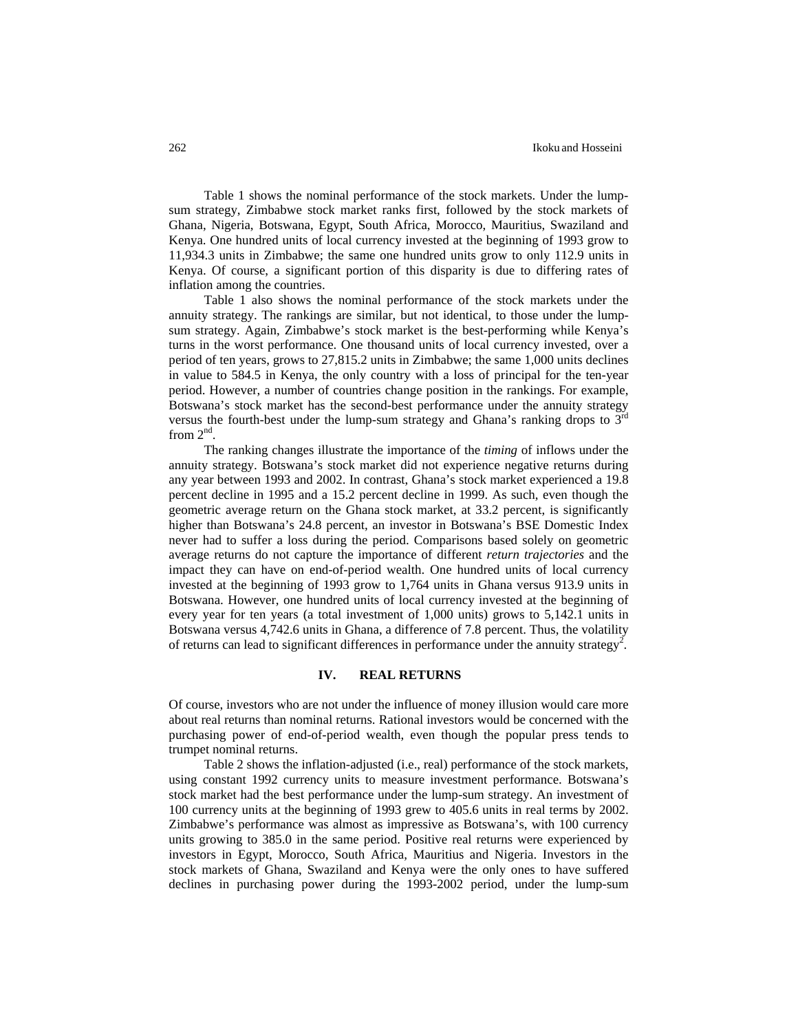Table 1 shows the nominal performance of the stock markets. Under the lumpsum strategy, Zimbabwe stock market ranks first, followed by the stock markets of Ghana, Nigeria, Botswana, Egypt, South Africa, Morocco, Mauritius, Swaziland and Kenya. One hundred units of local currency invested at the beginning of 1993 grow to 11,934.3 units in Zimbabwe; the same one hundred units grow to only 112.9 units in Kenya. Of course, a significant portion of this disparity is due to differing rates of inflation among the countries.

Table 1 also shows the nominal performance of the stock markets under the annuity strategy. The rankings are similar, but not identical, to those under the lumpsum strategy. Again, Zimbabwe's stock market is the best-performing while Kenya's turns in the worst performance. One thousand units of local currency invested, over a period of ten years, grows to 27,815.2 units in Zimbabwe; the same 1,000 units declines in value to 584.5 in Kenya, the only country with a loss of principal for the ten-year period. However, a number of countries change position in the rankings. For example, Botswana's stock market has the second-best performance under the annuity strategy versus the fourth-best under the lump-sum strategy and Ghana's ranking drops to  $3<sup>rd</sup>$ from  $2^{nd}$ .

The ranking changes illustrate the importance of the *timing* of inflows under the annuity strategy. Botswana's stock market did not experience negative returns during any year between 1993 and 2002. In contrast, Ghana's stock market experienced a 19.8 percent decline in 1995 and a 15.2 percent decline in 1999. As such, even though the geometric average return on the Ghana stock market, at 33.2 percent, is significantly higher than Botswana's 24.8 percent, an investor in Botswana's BSE Domestic Index never had to suffer a loss during the period. Comparisons based solely on geometric average returns do not capture the importance of different *return trajectories* and the impact they can have on end-of-period wealth. One hundred units of local currency invested at the beginning of 1993 grow to 1,764 units in Ghana versus 913.9 units in Botswana. However, one hundred units of local currency invested at the beginning of every year for ten years (a total investment of 1,000 units) grows to 5,142.1 units in Botswana versus 4,742.6 units in Ghana, a difference of 7.8 percent. Thus, the volatility of returns can lead to significant differences in performance under the annuity strategy<sup>2</sup>.

### **IV. REAL RETURNS**

Of course, investors who are not under the influence of money illusion would care more about real returns than nominal returns. Rational investors would be concerned with the purchasing power of end-of-period wealth, even though the popular press tends to trumpet nominal returns.

Table 2 shows the inflation-adjusted (i.e., real) performance of the stock markets, using constant 1992 currency units to measure investment performance. Botswana's stock market had the best performance under the lump-sum strategy. An investment of 100 currency units at the beginning of 1993 grew to 405.6 units in real terms by 2002. Zimbabwe's performance was almost as impressive as Botswana's, with 100 currency units growing to 385.0 in the same period. Positive real returns were experienced by investors in Egypt, Morocco, South Africa, Mauritius and Nigeria. Investors in the stock markets of Ghana, Swaziland and Kenya were the only ones to have suffered declines in purchasing power during the 1993-2002 period, under the lump-sum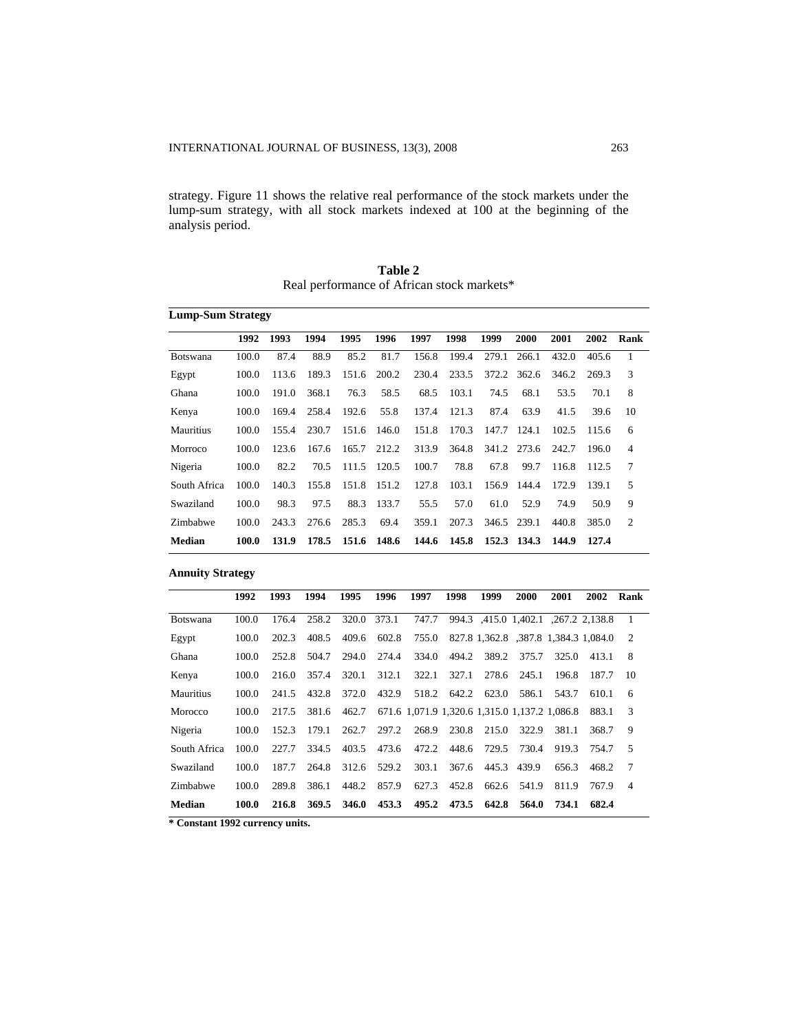strategy. Figure 11 shows the relative real performance of the stock markets under the lump-sum strategy, with all stock markets indexed at 100 at the beginning of the analysis period.

|                 | <b>Lump-Sum Strategy</b> |       |       |       |             |       |       |       |             |       |       |                |  |
|-----------------|--------------------------|-------|-------|-------|-------------|-------|-------|-------|-------------|-------|-------|----------------|--|
|                 | 1992                     | 1993  | 1994  | 1995  | 1996        | 1997  | 1998  | 1999  | 2000        | 2001  | 2002  | Rank           |  |
| <b>Botswana</b> | 100.0                    | 87.4  | 88.9  | 85.2  | 81.7        | 156.8 | 199.4 | 279.1 | 266.1       | 432.0 | 405.6 | 1              |  |
| Egypt           | 100.0                    | 113.6 | 189.3 | 151.6 | 200.2       | 230.4 | 233.5 | 372.2 | 362.6       | 346.2 | 269.3 | 3              |  |
| Ghana           | 100.0                    | 191.0 | 368.1 | 76.3  | 58.5        | 68.5  | 103.1 | 74.5  | 68.1        | 53.5  | 70.1  | 8              |  |
| Kenya           | 100.0                    | 169.4 | 258.4 | 192.6 | 55.8        | 137.4 | 121.3 | 87.4  | 63.9        | 41.5  | 39.6  | 10             |  |
| Mauritius       | 100.0                    | 155.4 | 230.7 | 151.6 | 146.0       | 151.8 | 170.3 | 147.7 | 124.1       | 102.5 | 115.6 | 6              |  |
| Morroco         | 100.0                    | 123.6 | 167.6 | 165.7 | 212.2       | 313.9 | 364.8 |       | 341.2 273.6 | 242.7 | 196.0 | $\overline{4}$ |  |
| Nigeria         | 100.0                    | 82.2  | 70.5  |       | 111.5 120.5 | 100.7 | 78.8  | 67.8  | 99.7        | 116.8 | 112.5 | 7              |  |
| South Africa    | 100.0                    | 140.3 | 155.8 | 151.8 | 151.2       | 127.8 | 103.1 | 156.9 | 144.4       | 172.9 | 139.1 | 5              |  |
| Swaziland       | 100.0                    | 98.3  | 97.5  | 88.3  | 133.7       | 55.5  | 57.0  | 61.0  | 52.9        | 74.9  | 50.9  | 9              |  |
| Zimbabwe        | 100.0                    | 243.3 | 276.6 | 285.3 | 69.4        | 359.1 | 207.3 | 346.5 | 239.1       | 440.8 | 385.0 | $\overline{2}$ |  |
| Median          | 100.0                    | 131.9 | 178.5 | 151.6 | 148.6       | 144.6 | 145.8 |       | 152.3 134.3 | 144.9 | 127.4 |                |  |

**Table 2** Real performance of African stock markets\*

### **Annuity Strategy**

|                 | 1992  | 1993  | 1994  | 1995  | 1996  | 1997  | 1998                                          | 1999  | 2000        | 2001  | 2002                                 | Rank                     |
|-----------------|-------|-------|-------|-------|-------|-------|-----------------------------------------------|-------|-------------|-------|--------------------------------------|--------------------------|
| <b>Botswana</b> | 100.0 | 176.4 | 258.2 | 320.0 | 373.1 | 747.7 |                                               |       |             |       | 994.3 .415.0 1.402.1 .267.2 2.138.8  | $\overline{1}$           |
| Egypt           | 100.0 | 202.3 | 408.5 | 409.6 | 602.8 | 755.0 |                                               |       |             |       | 827.8 1,362.8 .387.8 1,384.3 1,084.0 | $\overline{2}$           |
| Ghana           | 100.0 | 252.8 | 504.7 | 294.0 | 274.4 | 334.0 | 494.2                                         | 389.2 | 375.7       | 325.0 | 413.1                                | 8                        |
| Kenya           | 100.0 | 216.0 | 357.4 | 320.1 | 312.1 | 322.1 | 327.1                                         | 278.6 | 245.1       | 196.8 | 187.7                                | 10                       |
| Mauritius       | 100.0 | 241.5 | 432.8 | 372.0 | 432.9 | 518.2 | 642.2                                         | 623.0 | 586.1       | 543.7 | 610.1                                | 6                        |
| Morocco         | 100.0 | 217.5 | 381.6 | 462.7 |       |       | 671.6 1.071.9 1.320.6 1.315.0 1.137.2 1.086.8 |       |             |       | 883.1                                | 3                        |
| Nigeria         | 100.0 | 152.3 | 179.1 | 262.7 | 297.2 | 268.9 | 230.8                                         | 215.0 | 322.9       | 381.1 | 368.7                                | 9                        |
| South Africa    | 100.0 | 227.7 | 334.5 | 403.5 | 473.6 | 472.2 | 448.6                                         | 729.5 | 730.4       | 919.3 | 754.7                                | $\overline{5}$           |
| Swaziland       | 100.0 | 187.7 | 264.8 | 312.6 | 529.2 | 303.1 | 367.6                                         |       | 445.3 439.9 | 656.3 | 468.2                                | 7                        |
| Zimbabwe        | 100.0 | 289.8 | 386.1 | 448.2 | 857.9 | 627.3 | 452.8                                         | 662.6 | 541.9       | 811.9 | 767.9                                | $\overline{\mathcal{A}}$ |
| Median          | 100.0 | 216.8 | 369.5 | 346.0 | 453.3 | 495.2 | 473.5                                         | 642.8 | 564.0       | 734.1 | 682.4                                |                          |

**\* Constant 1992 currency units.**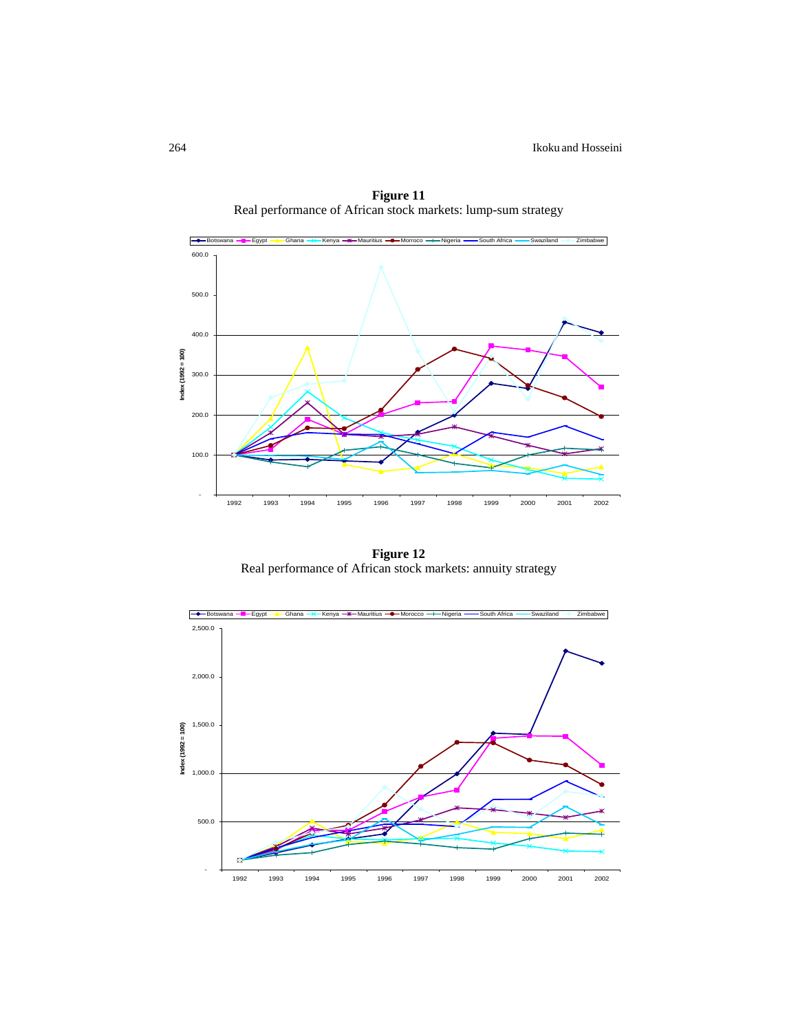

**Figure 11**  Real performance of African stock markets: lump-sum strategy

**Figure 12**  Real performance of African stock markets: annuity strategy

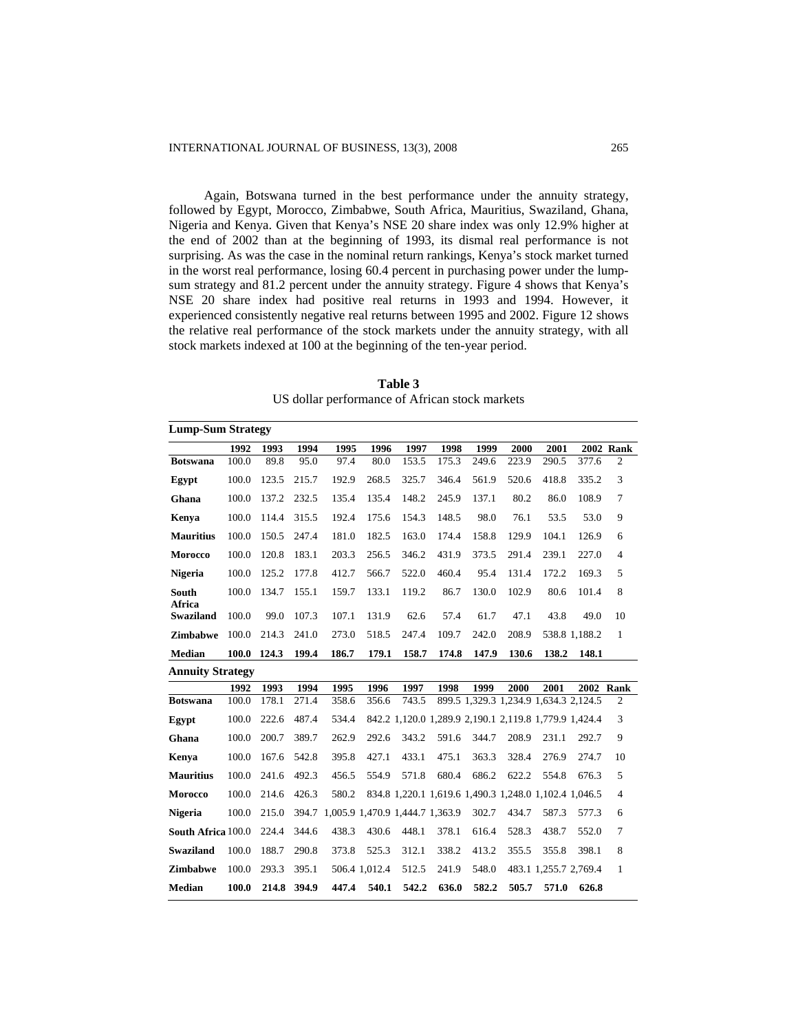Again, Botswana turned in the best performance under the annuity strategy, followed by Egypt, Morocco, Zimbabwe, South Africa, Mauritius, Swaziland, Ghana, Nigeria and Kenya. Given that Kenya's NSE 20 share index was only 12.9% higher at the end of 2002 than at the beginning of 1993, its dismal real performance is not surprising. As was the case in the nominal return rankings, Kenya's stock market turned in the worst real performance, losing 60.4 percent in purchasing power under the lumpsum strategy and 81.2 percent under the annuity strategy. Figure 4 shows that Kenya's NSE 20 share index had positive real returns in 1993 and 1994. However, it experienced consistently negative real returns between 1995 and 2002. Figure 12 shows the relative real performance of the stock markets under the annuity strategy, with all stock markets indexed at 100 at the beginning of the ten-year period.

| <b>Lump-Sum Strategy</b>   |       |       |       |                                 |               |       |       |       |       |                                                       |               |                |
|----------------------------|-------|-------|-------|---------------------------------|---------------|-------|-------|-------|-------|-------------------------------------------------------|---------------|----------------|
|                            | 1992  | 1993  | 1994  | 1995                            | 1996          | 1997  | 1998  | 1999  | 2000  | 2001                                                  |               | 2002 Rank      |
| <b>Botswana</b>            | 100.0 | 89.8  | 95.0  | 97.4                            | 80.0          | 153.5 | 175.3 | 249.6 | 223.9 | 290.5                                                 | 377.6         | 2              |
| Egypt                      | 100.0 | 123.5 | 215.7 | 192.9                           | 268.5         | 325.7 | 346.4 | 561.9 | 520.6 | 418.8                                                 | 335.2         | 3              |
| Ghana                      | 100.0 | 137.2 | 232.5 | 135.4                           | 135.4         | 148.2 | 245.9 | 137.1 | 80.2  | 86.0                                                  | 108.9         | $\tau$         |
| Kenya                      | 100.0 | 114.4 | 315.5 | 192.4                           | 175.6         | 154.3 | 148.5 | 98.0  | 76.1  | 53.5                                                  | 53.0          | 9              |
| <b>Mauritius</b>           | 100.0 | 150.5 | 247.4 | 181.0                           | 182.5         | 163.0 | 174.4 | 158.8 | 129.9 | 104.1                                                 | 126.9         | 6              |
| Morocco                    | 100.0 | 120.8 | 183.1 | 203.3                           | 256.5         | 346.2 | 431.9 | 373.5 | 291.4 | 239.1                                                 | 227.0         | $\overline{4}$ |
| <b>Nigeria</b>             | 100.0 | 125.2 | 177.8 | 412.7                           | 566.7         | 522.0 | 460.4 | 95.4  | 131.4 | 172.2                                                 | 169.3         | 5              |
| South                      | 100.0 | 134.7 | 155.1 | 159.7                           | 133.1         | 119.2 | 86.7  | 130.0 | 102.9 | 80.6                                                  | 101.4         | 8              |
| Africa<br><b>Swaziland</b> | 100.0 | 99.0  | 107.3 | 107.1                           | 131.9         | 62.6  | 57.4  | 61.7  | 47.1  | 43.8                                                  | 49.0          | 10             |
| <b>Zimbabwe</b>            | 100.0 | 214.3 | 241.0 | 273.0                           | 518.5         | 247.4 | 109.7 | 242.0 | 208.9 |                                                       | 538.8 1,188.2 | $\mathbf{1}$   |
| <b>Median</b>              | 100.0 | 124.3 | 199.4 | 186.7                           | 179.1         | 158.7 | 174.8 | 147.9 | 130.6 | 138.2                                                 | 148.1         |                |
| <b>Annuity Strategy</b>    |       |       |       |                                 |               |       |       |       |       |                                                       |               |                |
|                            | 1992  | 1993  | 1994  | 1995                            | 1996          | 1997  | 1998  | 1999  | 2000  | 2001                                                  | 2002          | Rank           |
| <b>Botswana</b>            | 100.0 | 178.1 | 271.4 | 358.6                           | 356.6         | 743.5 |       |       |       | 899.5 1,329.3 1,234.9 1,634.3 2,124.5                 |               | 2              |
| Egypt                      | 100.0 | 222.6 | 487.4 | 534.4                           |               |       |       |       |       | 842.2 1,120.0 1,289.9 2,190.1 2,119.8 1,779.9 1,424.4 |               | 3              |
| Ghana                      | 100.0 | 200.7 | 389.7 | 262.9                           | 292.6         | 343.2 | 591.6 | 344.7 | 208.9 | 231.1                                                 | 292.7         | 9              |
| Kenya                      | 100.0 | 167.6 | 542.8 | 395.8                           | 427.1         | 433.1 | 475.1 | 363.3 | 328.4 | 276.9                                                 | 274.7         | 10             |
| <b>Mauritius</b>           | 100.0 | 241.6 | 492.3 | 456.5                           | 554.9         | 571.8 | 680.4 | 686.2 | 622.2 | 554.8                                                 | 676.3         | 5              |
| <b>Morocco</b>             | 100.0 | 214.6 | 426.3 | 580.2                           |               |       |       |       |       | 834.8 1,220.1 1,619.6 1,490.3 1,248.0 1,102.4 1,046.5 |               | $\overline{4}$ |
| <b>Nigeria</b>             | 100.0 | 215.0 | 394.7 | 1,005.9 1,470.9 1,444.7 1,363.9 |               |       |       | 302.7 | 434.7 | 587.3                                                 | 577.3         | 6              |
| South Africa 100.0         |       | 224.4 | 344.6 | 438.3                           | 430.6         | 448.1 | 378.1 | 616.4 | 528.3 | 438.7                                                 | 552.0         | $\tau$         |
| <b>Swaziland</b>           | 100.0 | 188.7 | 290.8 | 373.8                           | 525.3         | 312.1 | 338.2 | 413.2 | 355.5 | 355.8                                                 | 398.1         | 8              |
| <b>Zimbabwe</b>            | 100.0 | 293.3 | 395.1 |                                 | 506.4 1.012.4 | 512.5 | 241.9 | 548.0 |       | 483.1 1,255.7 2,769.4                                 |               | $\mathbf{1}$   |
| <b>Median</b>              | 100.0 | 214.8 | 394.9 | 447.4                           | 540.1         | 542.2 | 636.0 | 582.2 | 505.7 | 571.0                                                 | 626.8         |                |

**Table 3**  US dollar performance of African stock markets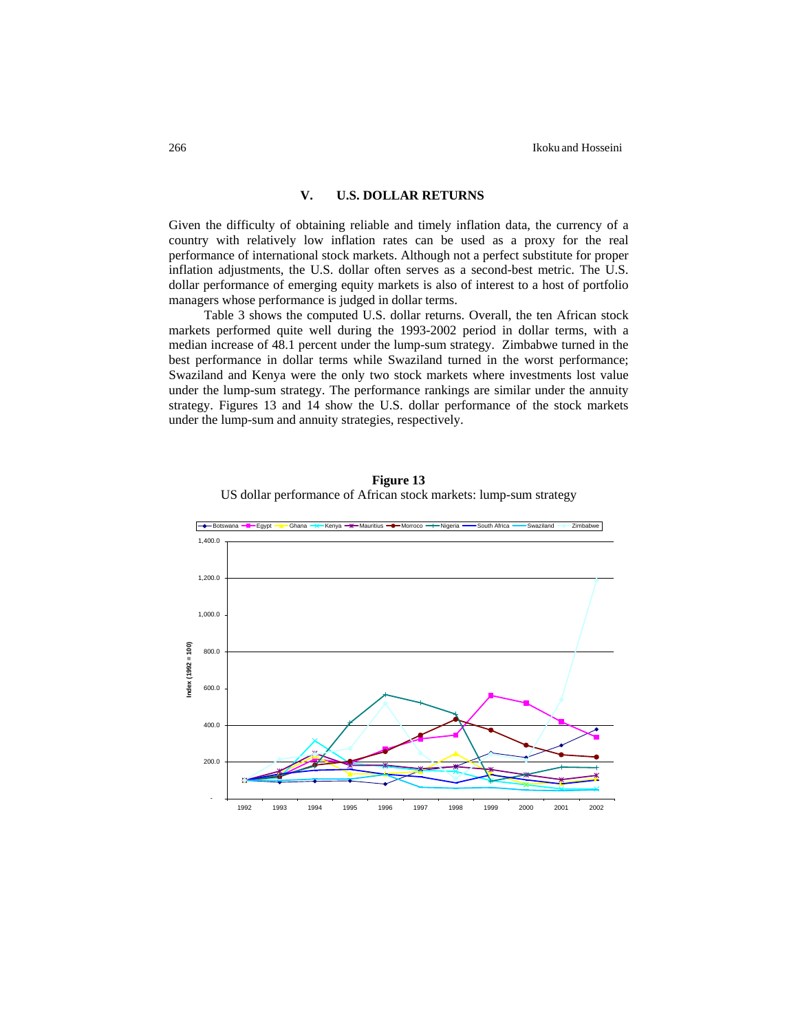### **V. U.S. DOLLAR RETURNS**

Given the difficulty of obtaining reliable and timely inflation data, the currency of a country with relatively low inflation rates can be used as a proxy for the real performance of international stock markets. Although not a perfect substitute for proper inflation adjustments, the U.S. dollar often serves as a second-best metric. The U.S. dollar performance of emerging equity markets is also of interest to a host of portfolio managers whose performance is judged in dollar terms.

Table 3 shows the computed U.S. dollar returns. Overall, the ten African stock markets performed quite well during the 1993-2002 period in dollar terms, with a median increase of 48.1 percent under the lump-sum strategy. Zimbabwe turned in the best performance in dollar terms while Swaziland turned in the worst performance; Swaziland and Kenya were the only two stock markets where investments lost value under the lump-sum strategy. The performance rankings are similar under the annuity strategy. Figures 13 and 14 show the U.S. dollar performance of the stock markets under the lump-sum and annuity strategies, respectively.



**Figure 13**  US dollar performance of African stock markets: lump-sum strategy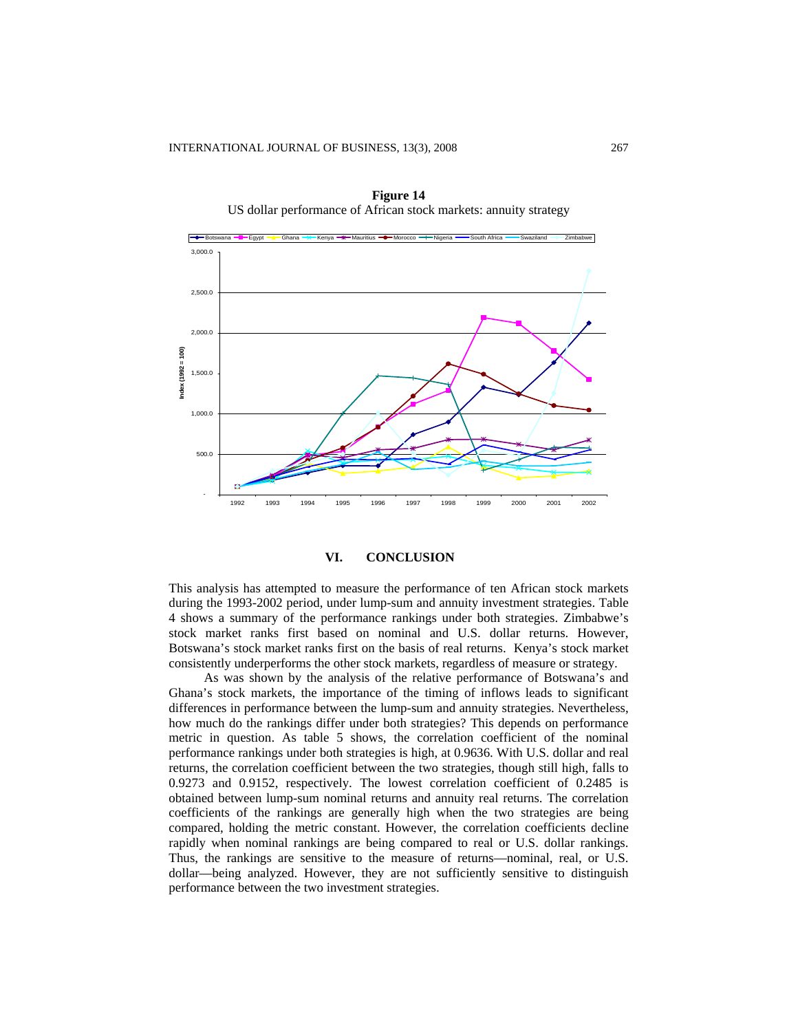

**Figure 14**  US dollar performance of African stock markets: annuity strategy

### **VI. CONCLUSION**

This analysis has attempted to measure the performance of ten African stock markets during the 1993-2002 period, under lump-sum and annuity investment strategies. Table 4 shows a summary of the performance rankings under both strategies. Zimbabwe's stock market ranks first based on nominal and U.S. dollar returns. However, Botswana's stock market ranks first on the basis of real returns. Kenya's stock market consistently underperforms the other stock markets, regardless of measure or strategy.

As was shown by the analysis of the relative performance of Botswana's and Ghana's stock markets, the importance of the timing of inflows leads to significant differences in performance between the lump-sum and annuity strategies. Nevertheless, how much do the rankings differ under both strategies? This depends on performance metric in question. As table 5 shows, the correlation coefficient of the nominal performance rankings under both strategies is high, at 0.9636. With U.S. dollar and real returns, the correlation coefficient between the two strategies, though still high, falls to 0.9273 and 0.9152, respectively. The lowest correlation coefficient of 0.2485 is obtained between lump-sum nominal returns and annuity real returns. The correlation coefficients of the rankings are generally high when the two strategies are being compared, holding the metric constant. However, the correlation coefficients decline rapidly when nominal rankings are being compared to real or U.S. dollar rankings. Thus, the rankings are sensitive to the measure of returns—nominal, real, or U.S. dollar—being analyzed. However, they are not sufficiently sensitive to distinguish performance between the two investment strategies.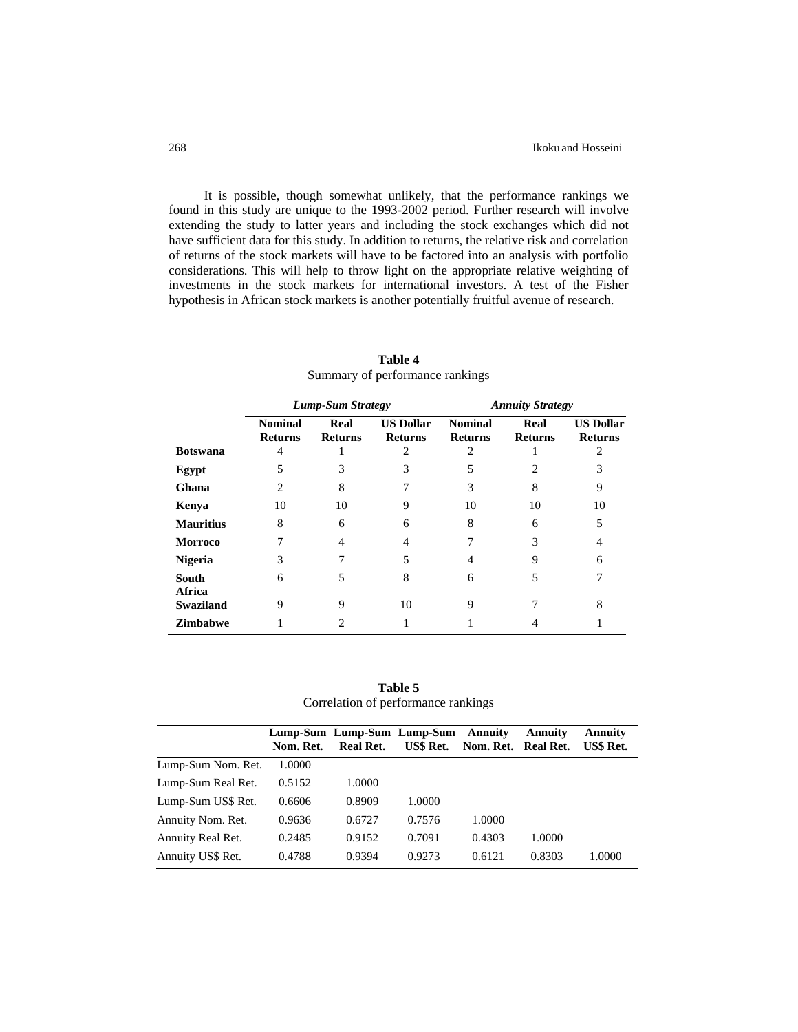It is possible, though somewhat unlikely, that the performance rankings we found in this study are unique to the 1993-2002 period. Further research will involve extending the study to latter years and including the stock exchanges which did not have sufficient data for this study. In addition to returns, the relative risk and correlation of returns of the stock markets will have to be factored into an analysis with portfolio considerations. This will help to throw light on the appropriate relative weighting of investments in the stock markets for international investors. A test of the Fisher hypothesis in African stock markets is another potentially fruitful avenue of research.

|                        |                                  | <b>Lump-Sum Strategy</b> |                                    |                                  | <b>Annuity Strategy</b> |                                    |
|------------------------|----------------------------------|--------------------------|------------------------------------|----------------------------------|-------------------------|------------------------------------|
|                        | <b>Nominal</b><br><b>Returns</b> | Real<br><b>Returns</b>   | <b>US Dollar</b><br><b>Returns</b> | <b>Nominal</b><br><b>Returns</b> | Real<br><b>Returns</b>  | <b>US Dollar</b><br><b>Returns</b> |
| <b>Botswana</b>        | 4                                |                          | 2                                  | 2                                |                         | 2                                  |
| Egypt                  | 5                                | 3                        | 3                                  | 5                                |                         | 3                                  |
| Ghana                  | 2                                | 8                        | ┑                                  | 3                                | 8                       | 9                                  |
| Kenya                  | 10                               | 10                       | 9                                  | 10                               | 10                      | 10                                 |
| <b>Mauritius</b>       | 8                                | 6                        | 6                                  | 8                                | 6                       | 5                                  |
| <b>Morroco</b>         |                                  | 4                        | 4                                  |                                  | 3                       | 4                                  |
| <b>Nigeria</b>         | 3                                |                          | 5                                  | 4                                | 9                       | 6                                  |
| <b>South</b><br>Africa | 6                                | 5                        | 8                                  | 6                                | 5                       |                                    |
| <b>Swaziland</b>       | 9                                | 9                        | 10                                 | 9                                |                         | 8                                  |
| Zimbabwe               |                                  |                          |                                    |                                  |                         |                                    |

**Table 4**  Summary of performance rankings

**Table 5**  Correlation of performance rankings

|                    | Nom. Ret. | <b>Real Ret.</b> | Lump-Sum Lump-Sum Lump-Sum<br>US\$ Ret. | Annuity<br>Nom. Ret. Real Ret. | Annuity | Annuity<br>US\$ Ret. |
|--------------------|-----------|------------------|-----------------------------------------|--------------------------------|---------|----------------------|
| Lump-Sum Nom. Ret. | 1.0000    |                  |                                         |                                |         |                      |
| Lump-Sum Real Ret. | 0.5152    | 1.0000           |                                         |                                |         |                      |
| Lump-Sum US\$ Ret. | 0.6606    | 0.8909           | 1.0000                                  |                                |         |                      |
| Annuity Nom. Ret.  | 0.9636    | 0.6727           | 0.7576                                  | 1.0000                         |         |                      |
| Annuity Real Ret.  | 0.2485    | 0.9152           | 0.7091                                  | 0.4303                         | 1.0000  |                      |
| Annuity US\$ Ret.  | 0.4788    | 0.9394           | 0.9273                                  | 0.6121                         | 0.8303  | 1.0000               |
|                    |           |                  |                                         |                                |         |                      |